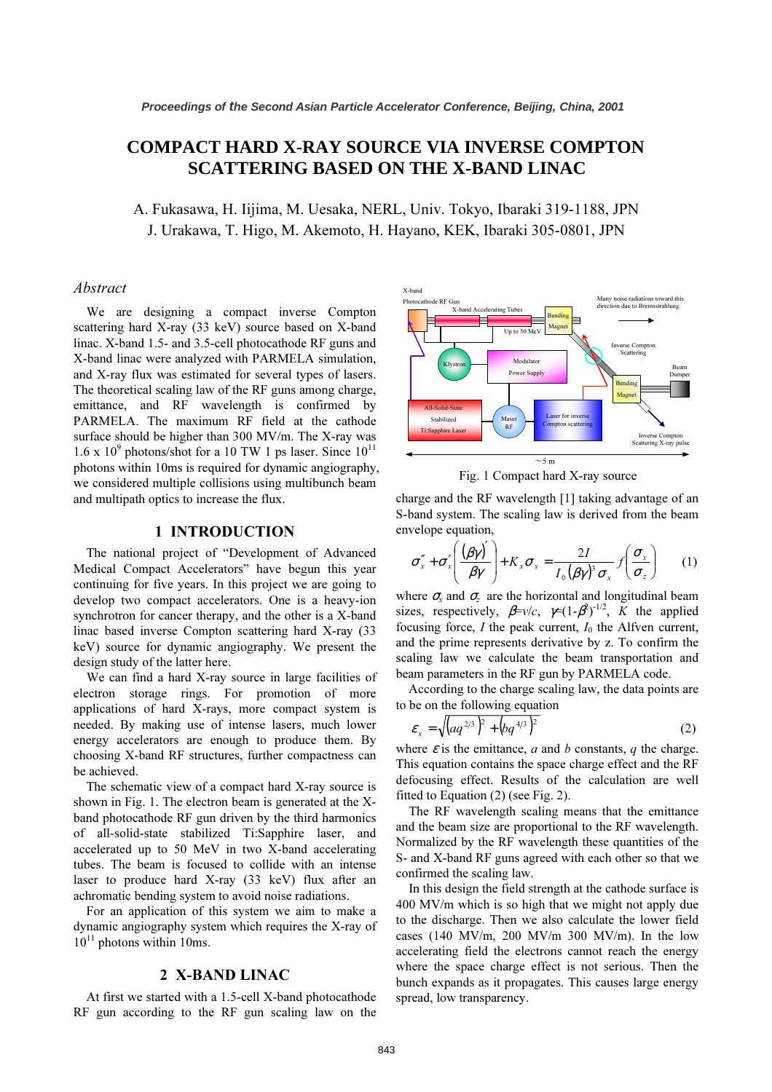# **COMPACT HARD X-RAY SOURCE VIA INVERSE COMPTON SCATTERING BASED ON THE X-BAND LINAC**

A. Fukasawa, H. Iijima, M. Uesaka, NERL, Univ. Tokyo, Ibaraki 319-1188, JPN J. Urakawa, T. Higo, M. Akemoto, H. Hayano, Kek, Ibaraki 305-0901, J. H. Hayano, J. Hayano, J. H. H. H. H. H.

#### Abstract

We are designing a compact inverse Compton scattering hard X-ray (33 keV) source based on X-band linac. X-band 1.5- and 3.5-cell photocathode RF guns and X-band linac were analyzed with PARMELA simulation, and X-ray flux was estimated for several types of lasers. The theoretical scaling law of the RF guns among charge, emittance, and RF wavelength is confirmed by PARMELA. The maximum RF field at the cathode surface should be higher than 300 MV/m. The X-ray was  $1.6 \times 10^{9}$  photons/shot for a 10 TW 1 ps laser. Since  $10^{11}$ photons within 10ms is required for dynamic angiography, we considered multiple collisions using multibunch beam and multipath optics to increase the flux.

### 1 INTRODUCTION

The national project of "Development of Advanced Medical Compact Accelerators" have begun this year continuing for five years. In this project we are going to develop two compact accelerators. One is a heavy-ion synchrotron for cancer therapy, and the other is a X-band linac based inverse Compton scattering hard X-ray (33 keV) source for dynamic angiography. We present the design study of the latter here.

We can find a hard X-ray source in large facilities of electron storage rings. For promotion of more applications of hard X-rays, more compact system is needed. By making use of intense lasers, much lower energy accelerators are enough to produce them. By choosing X-band RF structures, further compactness can be achieved.

The schematic view of a compact hard X-ray source is shown in Fig. 1. The electron beam is generated at the Xband photocathode RF gun driven by the third harmonics of all-solid-state stabilized Ti:Sapphire laser, and accelerated up to 50 MeV in two X-band accelerating tubes. The beam is focused to collide with an intense laser to produce hard X-ray (33 keV) flux after an achromatic bending system to avoid noise radiations.

For an application of this system we aim to make a dynamic angiography system which requires the X-ray of  $10^{11}$  photons within 10ms.

#### 2 X-BAND LINAC

At first we started with a 1.5-cell X-band photocathode RF gun according to the RF gun scaling law on the





charge and the RF wavelength [1] taking advantage of an S-band system. The scaling law is derived from the beam envelope equation,

$$
\sigma''_x + \sigma'_x \left(\frac{(\beta \gamma')}{\beta \gamma}\right) + K_x \sigma_x = \frac{2I}{I_0(\beta \gamma)^3 \sigma_x} f\left(\frac{\sigma_x}{\sigma_z}\right) \qquad (1)
$$

where  $\sigma_{\rm r}$  and  $\sigma_{\rm z}$  are the horizontal and longitudinal beam sizes, respectively,  $\beta = v/c$ ,  $\gamma = (1 - \beta^2)^{-1/2}$ , K the applied focusing force,  $I$  the peak current,  $I_0$  the Alfven current, and the prime represents derivative by z. To confirm the scaling law we calculate the beam transportation and beam parameters in the RF gun by PARMELA code.

According to the charge scaling law, the data points are to be on the following equation

$$
\varepsilon_{x} = \sqrt{\left(aq^{2/3}\right)^{2} + \left(bq^{4/3}\right)^{2}}
$$
 (2)

where  $\varepsilon$  is the emittance, a and b constants, q the charge. This equation contains the space charge effect and the RF defocusing effect. Results of the calculation are well fitted to Equation (2) (see Fig. 2).

The RF wavelength scaling means that the emittance and the beam size are proportional to the RF wavelength. Normalized by the RF wavelength these quantities of the S- and X-band RF guns agreed with each other so that we confirmed the scaling law.

In this design the field strength at the cathode surface is 400 MV/m which is so high that we might not apply due to the discharge. Then we also calculate the lower field cases (140 MV/m, 200 MV/m 300 MV/m). In the low accelerating field the electrons cannot reach the energy where the space charge effect is not serious. Then the bunch expands as it propagates. This causes large energy spread, low transparency.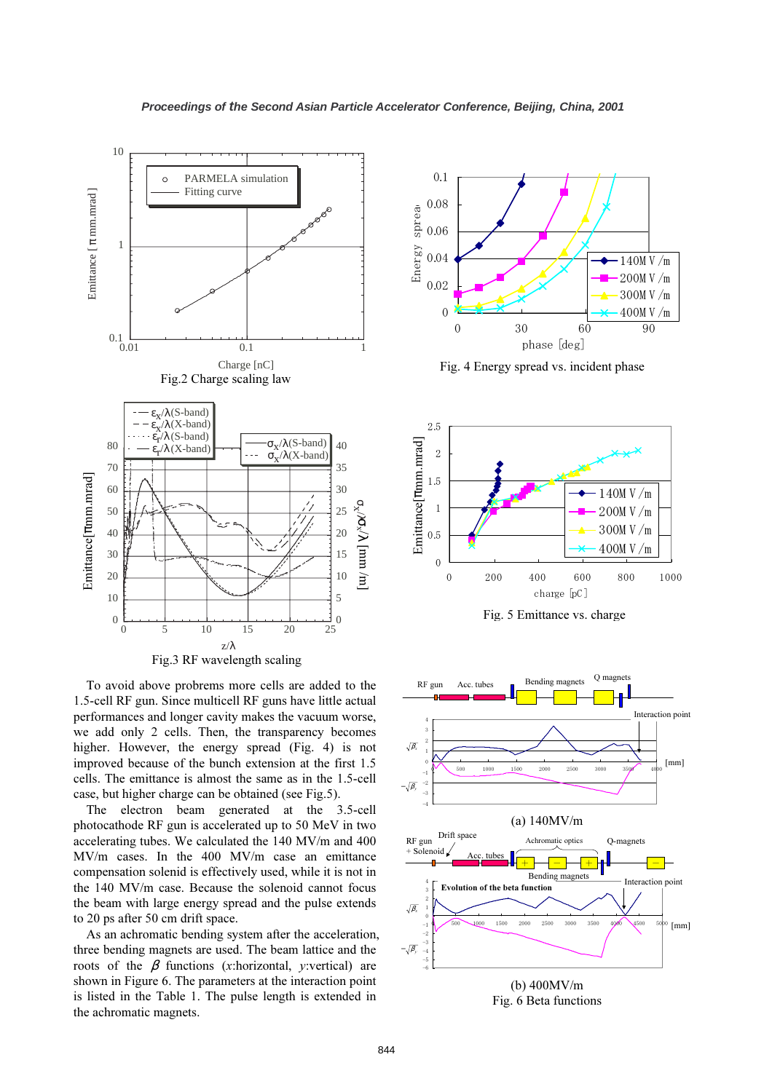

To avoid above probrems more cells are added to the 1.5-cell RF gun. Since multicell RF guns have little actual performances and longer cavity makes the vacuum worse, we add only 2 cells. Then, the transparency becomes higher. However, the energy spread (Fig. 4) is not improved because of the bunch extension at the first 1.5 cells. The emittance is almost the same as in the 1.5-cell case, but higher charge can be obtained (see Fig.5).

The electron beam generated at the 3.5-cell photocathode RF gun is accelerated up to 50 MeV in two accelerating tubes. We calculated the 140 MV/m and 400 MV/m cases. In the 400 MV/m case an emittance compensation solenid is effectively used, while it is not in the 140 MV/m case. Because the solenoid cannot focus the beam with large energy spread and the pulse extends to 20 ps after 50 cm drift space.

As an achromatic bending system after the acceleration, three bending magnets are used. The beam lattice and the roots of the  $\beta$  functions (x:horizontal, y:vertical) are shown in Figure 6. The parameters at the interaction point is listed in the Table 1. The pulse length is extended in the achromatic magnets.



Fig. 4 Energy spread vs. incident phase



Fig. 5 Emittance vs. charge